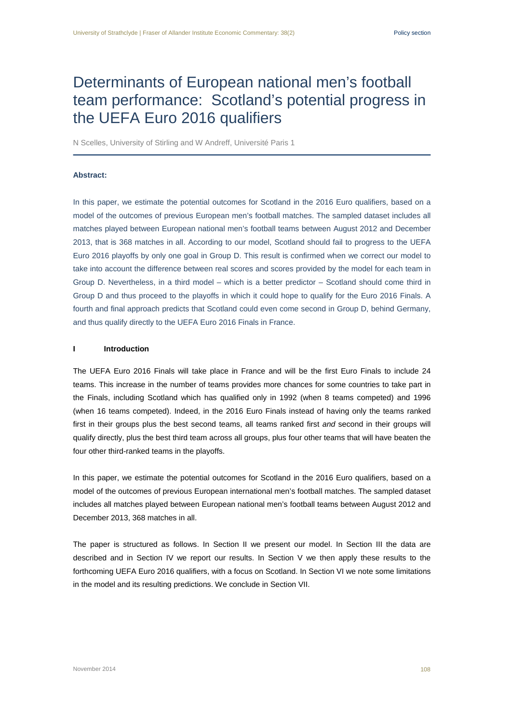# Determinants of European national men's football team performance: Scotland's potential progress in the UEFA Euro 2016 qualifiers

N Scelles, University of Stirling and W Andreff, Université Paris 1

#### **Abstract:**

In this paper, we estimate the potential outcomes for Scotland in the 2016 Euro qualifiers, based on a model of the outcomes of previous European men's football matches. The sampled dataset includes all matches played between European national men's football teams between August 2012 and December 2013, that is 368 matches in all. According to our model, Scotland should fail to progress to the UEFA Euro 2016 playoffs by only one goal in Group D. This result is confirmed when we correct our model to take into account the difference between real scores and scores provided by the model for each team in Group D. Nevertheless, in a third model – which is a better predictor – Scotland should come third in Group D and thus proceed to the playoffs in which it could hope to qualify for the Euro 2016 Finals. A fourth and final approach predicts that Scotland could even come second in Group D, behind Germany, and thus qualify directly to the UEFA Euro 2016 Finals in France.

#### **I Introduction**

The UEFA Euro 2016 Finals will take place in France and will be the first Euro Finals to include 24 teams. This increase in the number of teams provides more chances for some countries to take part in the Finals, including Scotland which has qualified only in 1992 (when 8 teams competed) and 1996 (when 16 teams competed). Indeed, in the 2016 Euro Finals instead of having only the teams ranked first in their groups plus the best second teams, all teams ranked first *and* second in their groups will qualify directly, plus the best third team across all groups, plus four other teams that will have beaten the four other third-ranked teams in the playoffs.

In this paper, we estimate the potential outcomes for Scotland in the 2016 Euro qualifiers, based on a model of the outcomes of previous European international men's football matches. The sampled dataset includes all matches played between European national men's football teams between August 2012 and December 2013, 368 matches in all.

The paper is structured as follows. In Section II we present our model. In Section III the data are described and in Section IV we report our results. In Section V we then apply these results to the forthcoming UEFA Euro 2016 qualifiers, with a focus on Scotland. In Section VI we note some limitations in the model and its resulting predictions. We conclude in Section VII.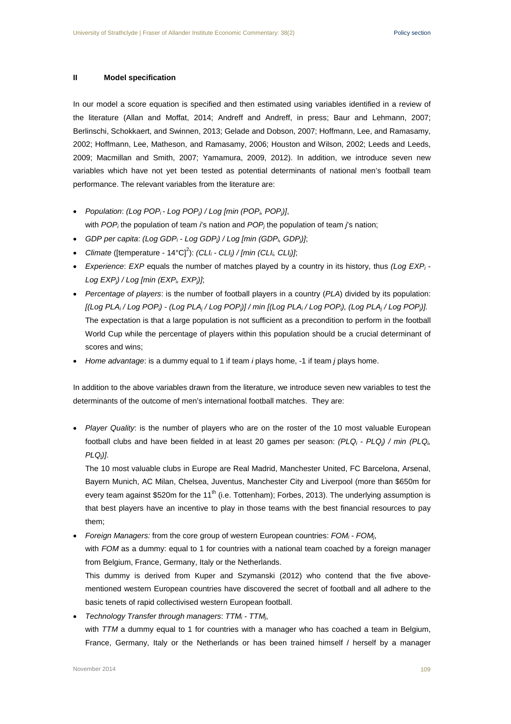## **II Model specification**

In our model a score equation is specified and then estimated using variables identified in a review of the literature (Allan and Moffat, 2014; Andreff and Andreff, in press; Baur and Lehmann, 2007; Berlinschi, Schokkaert, and Swinnen, 2013; Gelade and Dobson, 2007; Hoffmann, Lee, and Ramasamy, 2002; Hoffmann, Lee, Matheson, and Ramasamy, 2006; Houston and Wilson, 2002; Leeds and Leeds, 2009; Macmillan and Smith, 2007; Yamamura, 2009, 2012). In addition, we introduce seven new variables which have not yet been tested as potential determinants of national men's football team performance. The relevant variables from the literature are:

- *Population*: *(Log POPi - Log POPj) / Log [min (POPi, POPj)]*,
- with *POPi* the population of team *i*'s nation and *POPj* the population of team *j*'s nation;
- *GDP per capita*: *(Log GDPi - Log GDPj) / Log [min (GDPi, GDPj)]*;
- *Climate* ([temperature 14°C]<sup>2</sup>): *(CLI<sub>i</sub> CLI<sub>i</sub>) / [min (CLI<sub>i</sub>, CLI<sub>j</sub>)];*
- *Experience*: *EXP* equals the number of matches played by a country in its history, thus *(Log EXPi - Log EXPj) / Log [min (EXPi, EXPj)]*;
- *Percentage of players*: is the number of football players in a country (*PLA*) divided by its population: *[(Log PLAi / Log POPi) - (Log PLAj / Log POPj)] / min [(Log PLAi / Log POPi), (Log PLAj / Log POPj)].* The expectation is that a large population is not sufficient as a precondition to perform in the football World Cup while the percentage of players within this population should be a crucial determinant of scores and wins;
- *Home advantage*: is a dummy equal to 1 if team *i* plays home, -1 if team *j* plays home.

In addition to the above variables drawn from the literature, we introduce seven new variables to test the determinants of the outcome of men's international football matches. They are:

• *Player Quality*: is the number of players who are on the roster of the 10 most valuable European football clubs and have been fielded in at least 20 games per season: *(PLQi - PLQj) / min (PLQi, PLQj)]*.

The 10 most valuable clubs in Europe are Real Madrid, Manchester United, FC Barcelona, Arsenal, Bayern Munich, AC Milan, Chelsea, Juventus, Manchester City and Liverpool (more than \$650m for every team against \$520m for the 11<sup>th</sup> (i.e. Tottenham); Forbes, 2013). The underlying assumption is that best players have an incentive to play in those teams with the best financial resources to pay them;

• *Foreign Managers:* from the core group of western European countries: *FOMi - FOMj*, with *FOM* as a dummy: equal to 1 for countries with a national team coached by a foreign manager

from Belgium, France, Germany, Italy or the Netherlands.

This dummy is derived from Kuper and Szymanski (2012) who contend that the five abovementioned western European countries have discovered the secret of football and all adhere to the basic tenets of rapid collectivised western European football.

• *Technology Transfer through managers*: *TTMi - TTMj*, with *TTM* a dummy equal to 1 for countries with a manager who has coached a team in Belgium, France, Germany, Italy or the Netherlands or has been trained himself / herself by a manager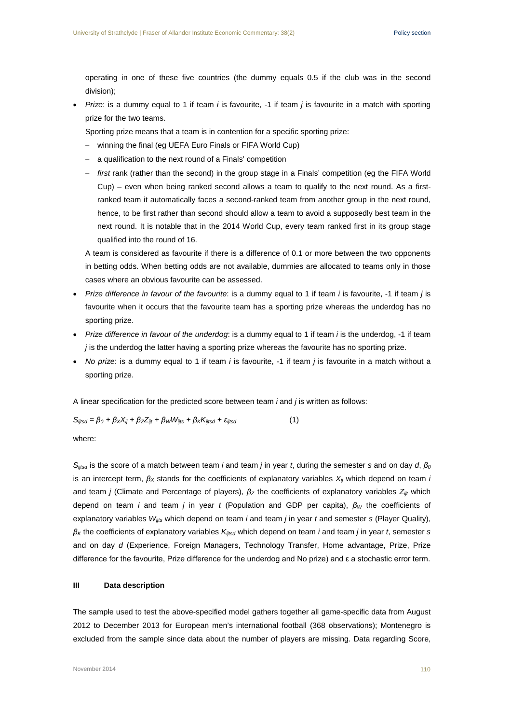operating in one of these five countries (the dummy equals 0.5 if the club was in the second division);

• *Prize*: is a dummy equal to 1 if team *i* is favourite, -1 if team *j* is favourite in a match with sporting prize for the two teams.

Sporting prize means that a team is in contention for a specific sporting prize:

- − winning the final (eg UEFA Euro Finals or FIFA World Cup)
- a qualification to the next round of a Finals' competition
- − *first* rank (rather than the second) in the group stage in a Finals' competition (eg the FIFA World Cup) – even when being ranked second allows a team to qualify to the next round. As a firstranked team it automatically faces a second-ranked team from another group in the next round, hence, to be first rather than second should allow a team to avoid a supposedly best team in the next round. It is notable that in the 2014 World Cup, every team ranked first in its group stage qualified into the round of 16.

A team is considered as favourite if there is a difference of 0.1 or more between the two opponents in betting odds. When betting odds are not available, dummies are allocated to teams only in those cases where an obvious favourite can be assessed.

- *Prize difference in favour of the favourite*: is a dummy equal to 1 if team *i* is favourite, -1 if team *j* is favourite when it occurs that the favourite team has a sporting prize whereas the underdog has no sporting prize.
- *Prize difference in favour of the underdog*: is a dummy equal to 1 if team *i* is the underdog, -1 if team *j* is the underdog the latter having a sporting prize whereas the favourite has no sporting prize.
- *No prize*: is a dummy equal to 1 if team *i* is favourite, -1 if team *j* is favourite in a match without a sporting prize.

A linear specification for the predicted score between team *i* and *j* is written as follows:

*S<sub>ijtsd</sub>* =  $β_0 + β_XX_{ii} + β_ZZ_{ii} + β_WW_{ii} + β_KK_{ii} + ε_{ii}$ tsd (1)

where:

*Sijtsd* is the score of a match between team *i* and team *j* in year *t*, during the semester *s* and on day *d*, *β<sup>0</sup>* is an intercept term, *β<sup>X</sup>* stands for the coefficients of explanatory variables *Xij* which depend on team *i* and team *j* (Climate and Percentage of players), *β<sup>Z</sup>* the coefficients of explanatory variables *Zijt* which depend on team *i* and team *j* in year *t* (Population and GDP per capita), *β<sup>W</sup>* the coefficients of explanatory variables *Wijts* which depend on team *i* and team *j* in year *t* and semester *s* (Player Quality), *β<sup>K</sup>* the coefficients of explanatory variables *Kijtsd* which depend on team *i* and team *j* in year *t*, semester *s* and on day *d* (Experience, Foreign Managers, Technology Transfer, Home advantage, Prize, Prize difference for the favourite, Prize difference for the underdog and No prize) and ε a stochastic error term.

## **III Data description**

The sample used to test the above-specified model gathers together all game-specific data from August 2012 to December 2013 for European men's international football (368 observations); Montenegro is excluded from the sample since data about the number of players are missing. Data regarding Score,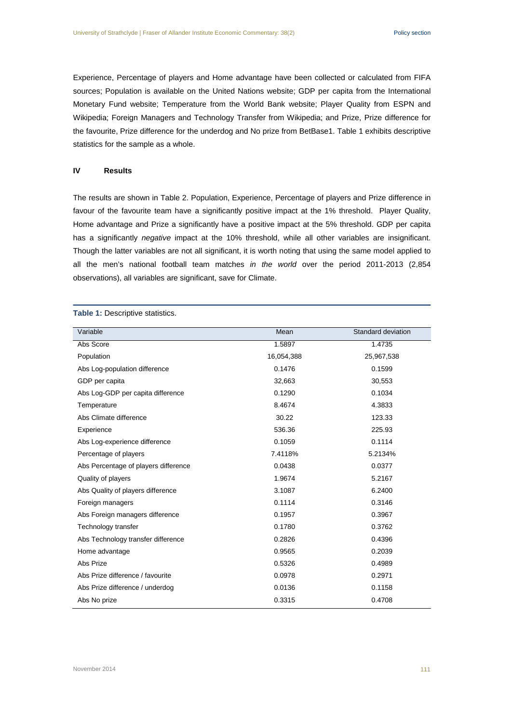Experience, Percentage of players and Home advantage have been collected or calculated from FIFA sources; Population is available on the United Nations website; GDP per capita from the International Monetary Fund website; Temperature from the World Bank website; Player Quality from ESPN and Wikipedia; Foreign Managers and Technology Transfer from Wikipedia; and Prize, Prize difference for the favourite, Prize difference for the underdog and No prize from BetBase1. Table 1 exhibits descriptive statistics for the sample as a whole.

#### **IV Results**

The results are shown in Table 2. Population, Experience, Percentage of players and Prize difference in favour of the favourite team have a significantly positive impact at the 1% threshold. Player Quality, Home advantage and Prize a significantly have a positive impact at the 5% threshold. GDP per capita has a significantly *negative* impact at the 10% threshold, while all other variables are insignificant. Though the latter variables are not all significant, it is worth noting that using the same model applied to all the men's national football team matches *in the world* over the period 2011-2013 (2,854 observations), all variables are significant, save for Climate.

**Table 1:** Descriptive statistics.

| Mean       | Standard deviation |
|------------|--------------------|
| 1.5897     | 1.4735             |
| 16,054,388 | 25,967,538         |
| 0.1476     | 0.1599             |
| 32,663     | 30,553             |
| 0.1290     | 0.1034             |
| 8.4674     | 4.3833             |
| 30.22      | 123.33             |
| 536.36     | 225.93             |
| 0.1059     | 0.1114             |
| 7.4118%    | 5.2134%            |
| 0.0438     | 0.0377             |
| 1.9674     | 5.2167             |
| 3.1087     | 6.2400             |
| 0.1114     | 0.3146             |
| 0.1957     | 0.3967             |
| 0.1780     | 0.3762             |
| 0.2826     | 0.4396             |
| 0.9565     | 0.2039             |
| 0.5326     | 0.4989             |
| 0.0978     | 0.2971             |
| 0.0136     | 0.1158             |
| 0.3315     | 0.4708             |
|            |                    |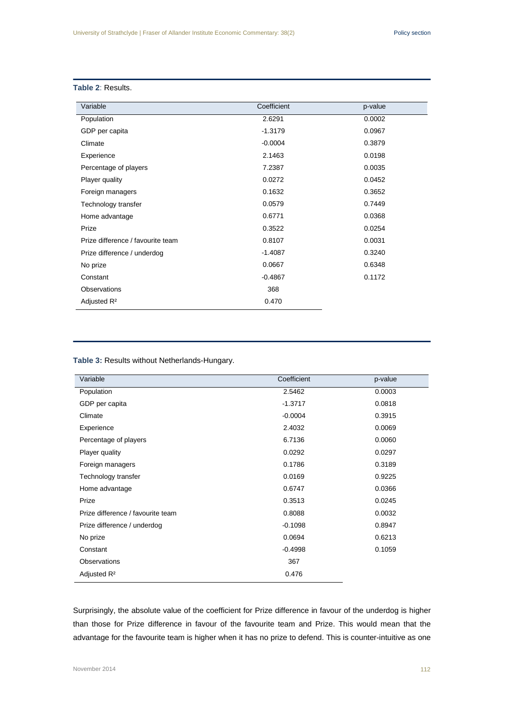# **Table 2**: Results.

| Variable                          | Coefficient | p-value |
|-----------------------------------|-------------|---------|
| Population                        | 2.6291      | 0.0002  |
| GDP per capita                    | $-1.3179$   | 0.0967  |
| Climate                           | $-0.0004$   | 0.3879  |
| Experience                        | 2.1463      | 0.0198  |
| Percentage of players             | 7.2387      | 0.0035  |
| Player quality                    | 0.0272      | 0.0452  |
| Foreign managers                  | 0.1632      | 0.3652  |
| Technology transfer               | 0.0579      | 0.7449  |
| Home advantage                    | 0.6771      | 0.0368  |
| Prize                             | 0.3522      | 0.0254  |
| Prize difference / favourite team | 0.8107      | 0.0031  |
| Prize difference / underdog       | $-1.4087$   | 0.3240  |
| No prize                          | 0.0667      | 0.6348  |
| Constant                          | $-0.4867$   | 0.1172  |
| Observations                      | 368         |         |
| Adjusted R <sup>2</sup>           | 0.470       |         |

# **Table 3:** Results without Netherlands-Hungary.

| Variable                          | Coefficient | p-value |
|-----------------------------------|-------------|---------|
| Population                        | 2.5462      | 0.0003  |
| GDP per capita                    | $-1.3717$   | 0.0818  |
| Climate                           | $-0.0004$   | 0.3915  |
| Experience                        | 2.4032      | 0.0069  |
| Percentage of players             | 6.7136      | 0.0060  |
| Player quality                    | 0.0292      | 0.0297  |
| Foreign managers                  | 0.1786      | 0.3189  |
| Technology transfer               | 0.0169      | 0.9225  |
| Home advantage                    | 0.6747      | 0.0366  |
| Prize                             | 0.3513      | 0.0245  |
| Prize difference / favourite team | 0.8088      | 0.0032  |
| Prize difference / underdog       | $-0.1098$   | 0.8947  |
| No prize                          | 0.0694      | 0.6213  |
| Constant                          | $-0.4998$   | 0.1059  |
| <b>Observations</b>               | 367         |         |
| Adjusted R <sup>2</sup>           | 0.476       |         |

Surprisingly, the absolute value of the coefficient for Prize difference in favour of the underdog is higher than those for Prize difference in favour of the favourite team and Prize. This would mean that the advantage for the favourite team is higher when it has no prize to defend. This is counter-intuitive as one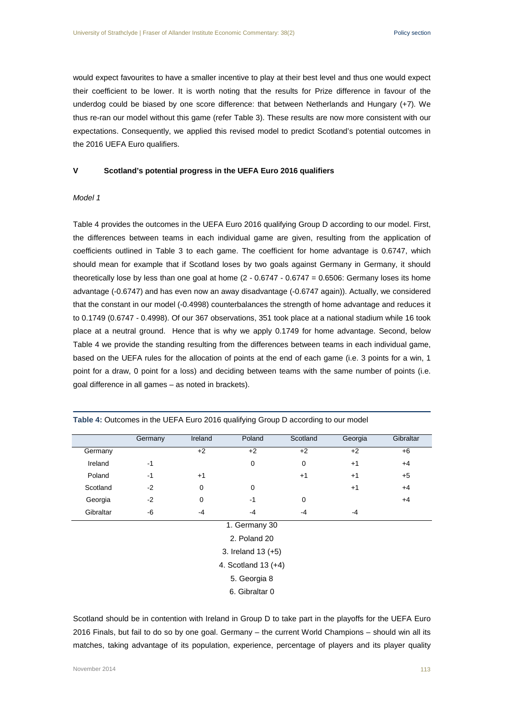would expect favourites to have a smaller incentive to play at their best level and thus one would expect their coefficient to be lower. It is worth noting that the results for Prize difference in favour of the underdog could be biased by one score difference: that between Netherlands and Hungary (+7). We thus re-ran our model without this game (refer Table 3). These results are now more consistent with our expectations. Consequently, we applied this revised model to predict Scotland's potential outcomes in the 2016 UEFA Euro qualifiers.

#### **V Scotland's potential progress in the UEFA Euro 2016 qualifiers**

## *Model 1*

Table 4 provides the outcomes in the UEFA Euro 2016 qualifying Group D according to our model. First, the differences between teams in each individual game are given, resulting from the application of coefficients outlined in Table 3 to each game. The coefficient for home advantage is 0.6747, which should mean for example that if Scotland loses by two goals against Germany in Germany, it should theoretically lose by less than one goal at home (2 - 0.6747 - 0.6747 = 0.6506: Germany loses its home advantage (-0.6747) and has even now an away disadvantage (-0.6747 again)). Actually, we considered that the constant in our model (-0.4998) counterbalances the strength of home advantage and reduces it to 0.1749 (0.6747 - 0.4998). Of our 367 observations, 351 took place at a national stadium while 16 took place at a neutral ground. Hence that is why we apply 0.1749 for home advantage. Second, below Table 4 we provide the standing resulting from the differences between teams in each individual game, based on the UEFA rules for the allocation of points at the end of each game (i.e. 3 points for a win, 1 point for a draw, 0 point for a loss) and deciding between teams with the same number of points (i.e. goal difference in all games – as noted in brackets).

|           | Germany               | Ireland | Poland             | Scotland    | Georgia | Gibraltar |  |
|-----------|-----------------------|---------|--------------------|-------------|---------|-----------|--|
| Germany   |                       | $+2$    | $+2$               | $+2$        | $+2$    | $+6$      |  |
| Ireland   | $-1$                  |         | 0                  | $\mathbf 0$ | $+1$    | $+4$      |  |
| Poland    | $-1$                  | $+1$    |                    | $+1$        | $+1$    | $+5$      |  |
| Scotland  | $-2$                  | 0       | 0                  |             | $+1$    | $+4$      |  |
| Georgia   | $-2$                  | 0       | $-1$               | 0           |         | $+4$      |  |
| Gibraltar | -6                    | $-4$    | $-4$               | $-4$        | $-4$    |           |  |
|           |                       |         | 1. Germany 30      |             |         |           |  |
|           |                       |         | 2. Poland 20       |             |         |           |  |
|           |                       |         | 3. Ireland 13 (+5) |             |         |           |  |
|           | 4. Scotland $13 (+4)$ |         |                    |             |         |           |  |
|           |                       |         | 5. Georgia 8       |             |         |           |  |

**Table 4:** Outcomes in the UEFA Euro 2016 qualifying Group D according to our model

6. Gibraltar 0

Scotland should be in contention with Ireland in Group D to take part in the playoffs for the UEFA Euro 2016 Finals, but fail to do so by one goal. Germany – the current World Champions – should win all its matches, taking advantage of its population, experience, percentage of players and its player quality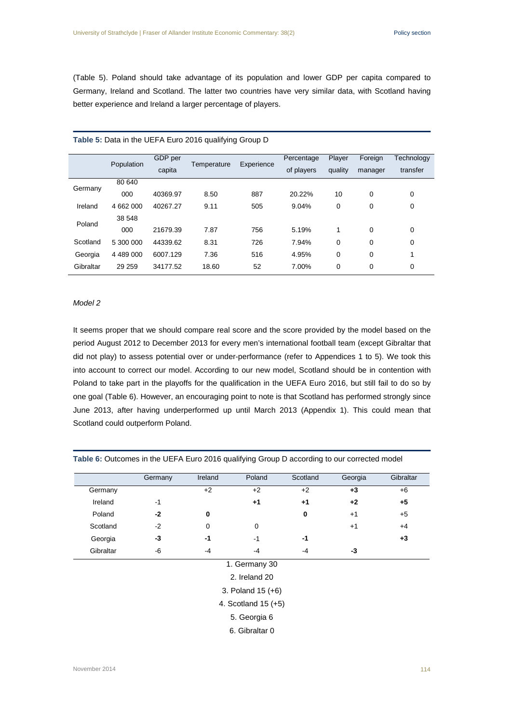(Table 5). Poland should take advantage of its population and lower GDP per capita compared to Germany, Ireland and Scotland. The latter two countries have very similar data, with Scotland having better experience and Ireland a larger percentage of players.

|           | Population | GDP per  | Temperature | Experience | Percentage | Player  | Foreign | Technology |
|-----------|------------|----------|-------------|------------|------------|---------|---------|------------|
|           |            | capita   |             |            |            | quality | manager | transfer   |
| Germany   | 80 640     |          |             |            |            |         |         |            |
|           | 000        | 40369.97 | 8.50        | 887        | 20.22%     | 10      | 0       | 0          |
| Ireland   | 4 662 000  | 40267.27 | 9.11        | 505        | 9.04%      | 0       | 0       | 0          |
| Poland    | 38 548     |          |             |            |            |         |         |            |
|           | 000        | 21679.39 | 7.87        | 756        | 5.19%      | 1       | 0       | 0          |
| Scotland  | 5 300 000  | 44339.62 | 8.31        | 726        | 7.94%      | 0       | 0       | 0          |
| Georgia   | 4 489 000  | 6007.129 | 7.36        | 516        | 4.95%      | 0       | 0       | 1          |
| Gibraltar | 29 25 9    | 34177.52 | 18.60       | 52         | 7.00%      | 0       | 0       | 0          |

#### **Table 5:** Data in the UEFA Euro 2016 qualifying Group D

#### *Model 2*

It seems proper that we should compare real score and the score provided by the model based on the period August 2012 to December 2013 for every men's international football team (except Gibraltar that did not play) to assess potential over or under-performance (refer to Appendices 1 to 5). We took this into account to correct our model. According to our new model, Scotland should be in contention with Poland to take part in the playoffs for the qualification in the UEFA Euro 2016, but still fail to do so by one goal (Table 6). However, an encouraging point to note is that Scotland has performed strongly since June 2013, after having underperformed up until March 2013 (Appendix 1). This could mean that Scotland could outperform Poland.

|          | Germany | Ireland | Poland | Scotland | Georgia | Gibraltar |
|----------|---------|---------|--------|----------|---------|-----------|
| Germany  |         | +2      | $+2$   | $+2$     | $+3$    | +6        |
| Ireland  | -1      |         | +1     | $+1$     | $+2$    | $+5$      |
| Poland   | -2      | 0       |        | 0        | $+1$    | $+5$      |
| Scotland | $-2$    | 0       |        |          | $+1$    | $+4$      |
| Georgia  | -3      | -1      | $-1$   | -1       |         | +3        |

**Table 6:** Outcomes in the UEFA Euro 2016 qualifying Group D according to our corrected model

#### 1. Germany 30

Gibraltar -6 -4 -4 -4 **-3**

2. Ireland 20

3. Poland 15 (+6)

4. Scotland 15 (+5)

5. Georgia 6

6. Gibraltar 0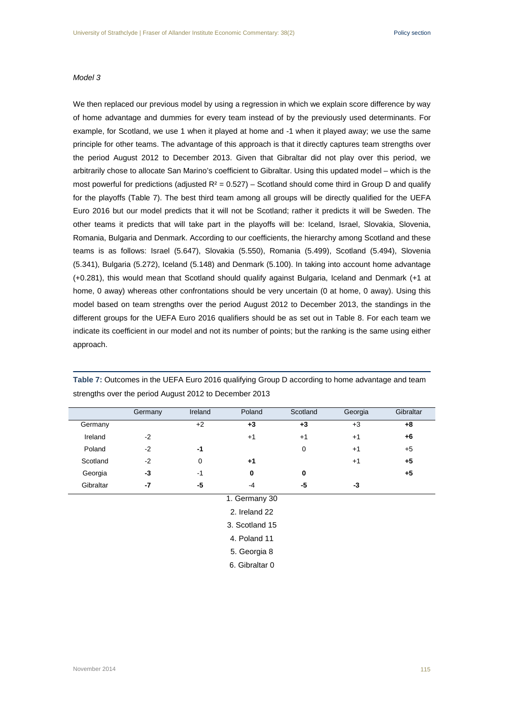### *Model 3*

We then replaced our previous model by using a regression in which we explain score difference by way of home advantage and dummies for every team instead of by the previously used determinants. For example, for Scotland, we use 1 when it played at home and -1 when it played away; we use the same principle for other teams. The advantage of this approach is that it directly captures team strengths over the period August 2012 to December 2013. Given that Gibraltar did not play over this period, we arbitrarily chose to allocate San Marino's coefficient to Gibraltar. Using this updated model – which is the most powerful for predictions (adjusted  $R^2 = 0.527$ ) – Scotland should come third in Group D and qualify for the playoffs (Table 7). The best third team among all groups will be directly qualified for the UEFA Euro 2016 but our model predicts that it will not be Scotland; rather it predicts it will be Sweden. The other teams it predicts that will take part in the playoffs will be: Iceland, Israel, Slovakia, Slovenia, Romania, Bulgaria and Denmark. According to our coefficients, the hierarchy among Scotland and these teams is as follows: Israel (5.647), Slovakia (5.550), Romania (5.499), Scotland (5.494), Slovenia (5.341), Bulgaria (5.272), Iceland (5.148) and Denmark (5.100). In taking into account home advantage (+0.281), this would mean that Scotland should qualify against Bulgaria, Iceland and Denmark (+1 at home, 0 away) whereas other confrontations should be very uncertain (0 at home, 0 away). Using this model based on team strengths over the period August 2012 to December 2013, the standings in the different groups for the UEFA Euro 2016 qualifiers should be as set out in Table 8. For each team we indicate its coefficient in our model and not its number of points; but the ranking is the same using either approach.

|                  | Germany | Ireland | Poland | Scotland | Georgia | Gibraltar |  |
|------------------|---------|---------|--------|----------|---------|-----------|--|
| Germany          |         | $+2$    | $+3$   | $+3$     | $+3$    | +8        |  |
| Ireland          | $-2$    |         | $+1$   | $+1$     | $+1$    | +6        |  |
| Poland           | $-2$    | $-1$    |        | 0        | $+1$    | $+5$      |  |
| Scotland         | $-2$    | 0       | $+1$   |          | $+1$    | $+5$      |  |
| Georgia          | -3      | $-1$    | 0      | 0        |         | $+5$      |  |
| Gibraltar        | -7      | -5      | $-4$   | -5       | -3      |           |  |
| $1$ Carmany $30$ |         |         |        |          |         |           |  |

**Table 7:** Outcomes in the UEFA Euro 2016 qualifying Group D according to home advantage and team strengths over the period August 2012 to December 2013

1. Germany 30

2. Ireland 22

3. Scotland 15

4. Poland 11

5. Georgia 8

6. Gibraltar 0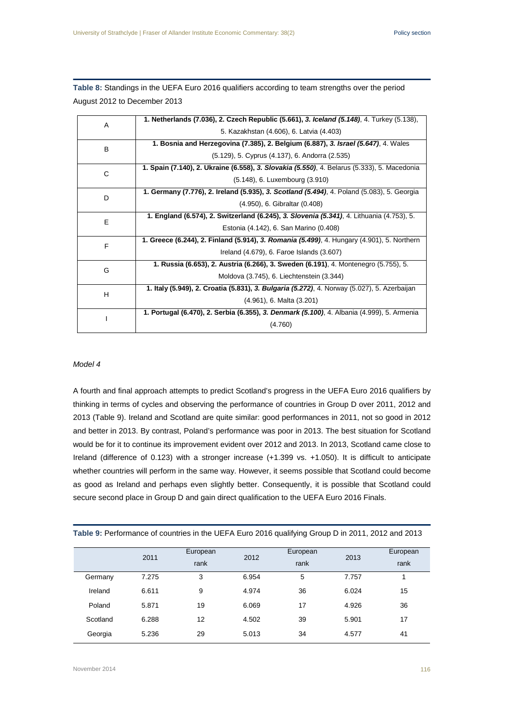**Table 8:** Standings in the UEFA Euro 2016 qualifiers according to team strengths over the period August 2012 to December 2013

| A | 1. Netherlands (7.036), 2. Czech Republic (5.661), 3. Iceland (5.148), 4. Turkey (5.138),   |
|---|---------------------------------------------------------------------------------------------|
|   | 5. Kazakhstan (4.606), 6. Latvia (4.403)                                                    |
| B | 1. Bosnia and Herzegovina (7.385), 2. Belgium (6.887), 3. Israel (5.647), 4. Wales          |
|   | (5.129), 5. Cyprus (4.137), 6. Andorra (2.535)                                              |
| C | 1. Spain (7.140), 2. Ukraine (6.558), 3. Slovakia (5.550), 4. Belarus (5.333), 5. Macedonia |
|   | (5.148), 6. Luxembourg (3.910)                                                              |
| D | 1. Germany (7.776), 2. Ireland (5.935), 3. Scotland (5.494), 4. Poland (5.083), 5. Georgia  |
|   | (4.950), 6. Gibraltar (0.408)                                                               |
| E | 1. England (6.574), 2. Switzerland (6.245), 3. Slovenia (5.341), 4. Lithuania (4.753), 5.   |
|   | Estonia (4.142), 6. San Marino (0.408)                                                      |
| F | 1. Greece (6.244), 2. Finland (5.914), 3. Romania (5.499), 4. Hungary (4.901), 5. Northern  |
|   | Ireland (4.679), 6. Faroe Islands (3.607)                                                   |
| G | 1. Russia (6.653), 2. Austria (6.266), 3. Sweden (6.191), 4. Montenegro (5.755), 5.         |
|   | Moldova (3.745), 6. Liechtenstein (3.344)                                                   |
| H | 1. Italy (5.949), 2. Croatia (5.831), 3. Bulgaria (5.272), 4. Norway (5.027), 5. Azerbaijan |
|   | $(4.961)$ , 6. Malta $(3.201)$                                                              |
|   | 1. Portugal (6.470), 2. Serbia (6.355), 3. Denmark (5.100), 4. Albania (4.999), 5. Armenia  |
|   | (4.760)                                                                                     |

# *Model 4*

A fourth and final approach attempts to predict Scotland's progress in the UEFA Euro 2016 qualifiers by thinking in terms of cycles and observing the performance of countries in Group D over 2011, 2012 and 2013 (Table 9). Ireland and Scotland are quite similar: good performances in 2011, not so good in 2012 and better in 2013. By contrast, Poland's performance was poor in 2013. The best situation for Scotland would be for it to continue its improvement evident over 2012 and 2013. In 2013, Scotland came close to Ireland (difference of 0.123) with a stronger increase (+1.399 vs. +1.050). It is difficult to anticipate whether countries will perform in the same way. However, it seems possible that Scotland could become as good as Ireland and perhaps even slightly better. Consequently, it is possible that Scotland could secure second place in Group D and gain direct qualification to the UEFA Euro 2016 Finals.

|          | 2011  | European | 2012  | European | 2013  | European |
|----------|-------|----------|-------|----------|-------|----------|
|          |       | rank     |       | rank     |       | rank     |
| Germany  | 7.275 | 3        | 6.954 | 5        | 7.757 |          |
| Ireland  | 6.611 | 9        | 4.974 | 36       | 6.024 | 15       |
| Poland   | 5.871 | 19       | 6.069 | 17       | 4.926 | 36       |
| Scotland | 6.288 | 12       | 4.502 | 39       | 5.901 | 17       |
| Georgia  | 5.236 | 29       | 5.013 | 34       | 4.577 | 41       |

**Table 9:** Performance of countries in the UEFA Euro 2016 qualifying Group D in 2011, 2012 and 2013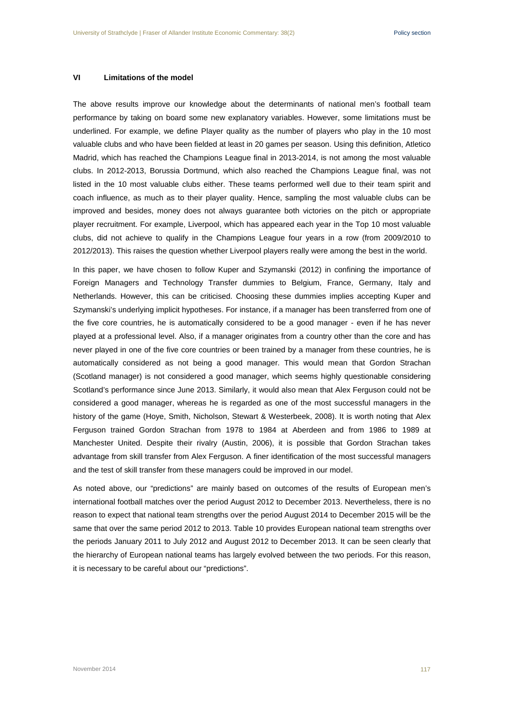#### **VI Limitations of the model**

The above results improve our knowledge about the determinants of national men's football team performance by taking on board some new explanatory variables. However, some limitations must be underlined. For example, we define Player quality as the number of players who play in the 10 most valuable clubs and who have been fielded at least in 20 games per season. Using this definition, Atletico Madrid, which has reached the Champions League final in 2013-2014, is not among the most valuable clubs. In 2012-2013, Borussia Dortmund, which also reached the Champions League final, was not listed in the 10 most valuable clubs either. These teams performed well due to their team spirit and coach influence, as much as to their player quality. Hence, sampling the most valuable clubs can be improved and besides, money does not always guarantee both victories on the pitch or appropriate player recruitment. For example, Liverpool, which has appeared each year in the Top 10 most valuable clubs, did not achieve to qualify in the Champions League four years in a row (from 2009/2010 to 2012/2013). This raises the question whether Liverpool players really were among the best in the world.

In this paper, we have chosen to follow Kuper and Szymanski (2012) in confining the importance of Foreign Managers and Technology Transfer dummies to Belgium, France, Germany, Italy and Netherlands. However, this can be criticised. Choosing these dummies implies accepting Kuper and Szymanski's underlying implicit hypotheses. For instance, if a manager has been transferred from one of the five core countries, he is automatically considered to be a good manager - even if he has never played at a professional level. Also, if a manager originates from a country other than the core and has never played in one of the five core countries or been trained by a manager from these countries, he is automatically considered as not being a good manager. This would mean that Gordon Strachan (Scotland manager) is not considered a good manager, which seems highly questionable considering Scotland's performance since June 2013. Similarly, it would also mean that Alex Ferguson could not be considered a good manager, whereas he is regarded as one of the most successful managers in the history of the game (Hoye, Smith, Nicholson, Stewart & Westerbeek, 2008). It is worth noting that Alex Ferguson trained Gordon Strachan from 1978 to 1984 at Aberdeen and from 1986 to 1989 at Manchester United. Despite their rivalry (Austin, 2006), it is possible that Gordon Strachan takes advantage from skill transfer from Alex Ferguson. A finer identification of the most successful managers and the test of skill transfer from these managers could be improved in our model.

As noted above, our "predictions" are mainly based on outcomes of the results of European men's international football matches over the period August 2012 to December 2013. Nevertheless, there is no reason to expect that national team strengths over the period August 2014 to December 2015 will be the same that over the same period 2012 to 2013. Table 10 provides European national team strengths over the periods January 2011 to July 2012 and August 2012 to December 2013. It can be seen clearly that the hierarchy of European national teams has largely evolved between the two periods. For this reason, it is necessary to be careful about our "predictions".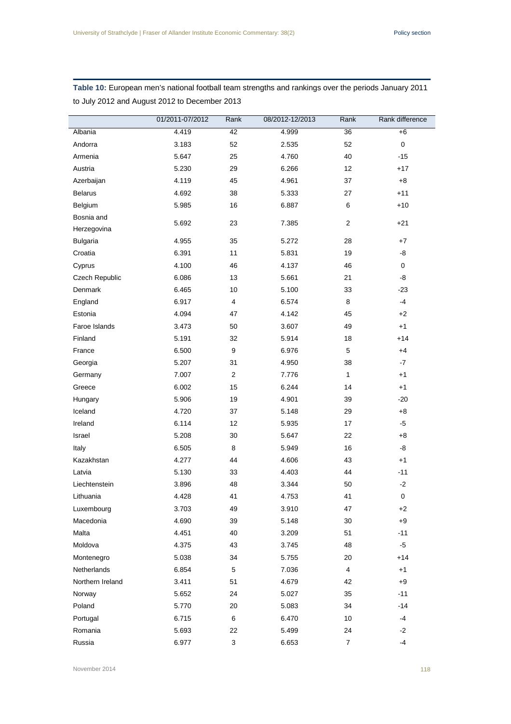|                  | 01/2011-07/2012 | Rank         | 08/2012-12/2013 | Rank           | Rank difference     |
|------------------|-----------------|--------------|-----------------|----------------|---------------------|
|                  |                 |              |                 |                |                     |
| Albania          | 4.419           | 42           | 4.999           | 36             | $+6$<br>$\mathbf 0$ |
| Andorra          | 3.183           | 52           | 2.535           | 52             |                     |
| Armenia          | 5.647           | 25           | 4.760           | 40             | $-15$               |
| Austria          | 5.230           | 29           | 6.266           | 12             | $+17$               |
| Azerbaijan       | 4.119           | 45           | 4.961           | 37             | $+8$                |
| <b>Belarus</b>   | 4.692           | 38           | 5.333           | 27             | $+11$               |
| Belgium          | 5.985           | 16           | 6.887           | 6              | $+10$               |
| Bosnia and       | 5.692           | 23           | 7.385           | $\overline{2}$ | $+21$               |
| Herzegovina      |                 |              |                 |                |                     |
| <b>Bulgaria</b>  | 4.955           | 35           | 5.272           | 28             | $+7$                |
| Croatia          | 6.391           | 11           | 5.831           | 19             | -8                  |
| Cyprus           | 4.100           | 46           | 4.137           | 46             | $\mathbf 0$         |
| Czech Republic   | 6.086           | 13           | 5.661           | 21             | -8                  |
| Denmark          | 6.465           | 10           | 5.100           | 33             | $-23$               |
| England          | 6.917           | 4            | 6.574           | 8              | $-4$                |
| Estonia          | 4.094           | 47           | 4.142           | 45             | $+2$                |
| Faroe Islands    | 3.473           | 50           | 3.607           | 49             | $+1$                |
| Finland          | 5.191           | 32           | 5.914           | 18             | $+14$               |
| France           | 6.500           | 9            | 6.976           | 5              | $+4$                |
| Georgia          | 5.207           | 31           | 4.950           | 38             | $-7$                |
| Germany          | 7.007           | 2            | 7.776           | $\mathbf{1}$   | $+1$                |
| Greece           | 6.002           | 15           | 6.244           | 14             | $+1$                |
| Hungary          | 5.906           | 19           | 4.901           | 39             | $-20$               |
| Iceland          | 4.720           | 37           | 5.148           | 29             | $+8$                |
| Ireland          | 6.114           | 12           | 5.935           | 17             | $-5$                |
| Israel           | 5.208           | 30           | 5.647           | 22             | $+8$                |
| Italy            | 6.505           | 8            | 5.949           | 16             | -8                  |
| Kazakhstan       | 4.277           | 44           | 4.606           | 43             | $+1$                |
| Latvia           | 5.130           | 33           | 4.403           | 44             | $-11$               |
| Liechtenstein    | 3.896           | 48           | 3.344           | 50             | $-2$                |
| Lithuania        | 4.428           | 41           | 4.753           | 41             | 0                   |
| Luxembourg       | 3.703           | 49           | 3.910           | 47             | $+2$                |
| Macedonia        | 4.690           | 39           | 5.148           | $30\,$         | $+9$                |
| Malta            | 4.451           | 40           | 3.209           | 51             | $-11$               |
| Moldova          | 4.375           | 43           | 3.745           | 48             | $-5$                |
| Montenegro       | 5.038           | 34           | 5.755           | 20             | $+14$               |
| Netherlands      | 6.854           | 5            | 7.036           | 4              | $+1$                |
| Northern Ireland | 3.411           | 51           | 4.679           | 42             | $+9$                |
| Norway           | 5.652           | 24           | 5.027           | 35             | $-11$               |
| Poland           | 5.770           | 20           | 5.083           | 34             | $-14$               |
| Portugal         | 6.715           | 6            | 6.470           | 10             | -4                  |
| Romania          | 5.693           | 22           | 5.499           | 24             | $-2$                |
| Russia           | 6.977           | $\mathbf{3}$ | 6.653           | $\overline{7}$ | $-4$                |

**Table 10:** European men's national football team strengths and rankings over the periods January 2011 to July 2012 and August 2012 to December 2013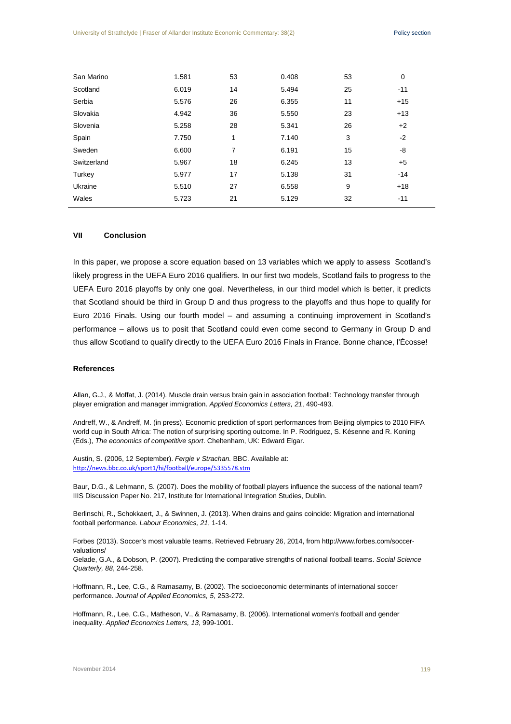| San Marino  | 1.581 | 53 | 0.408 | 53 | 0     |
|-------------|-------|----|-------|----|-------|
| Scotland    | 6.019 | 14 | 5.494 | 25 | $-11$ |
| Serbia      | 5.576 | 26 | 6.355 | 11 | $+15$ |
| Slovakia    | 4.942 | 36 | 5.550 | 23 | $+13$ |
| Slovenia    | 5.258 | 28 | 5.341 | 26 | $+2$  |
| Spain       | 7.750 | 1  | 7.140 | 3  | $-2$  |
| Sweden      | 6.600 | 7  | 6.191 | 15 | -8    |
| Switzerland | 5.967 | 18 | 6.245 | 13 | $+5$  |
| Turkey      | 5.977 | 17 | 5.138 | 31 | $-14$ |
| Ukraine     | 5.510 | 27 | 6.558 | 9  | $+18$ |
| Wales       | 5.723 | 21 | 5.129 | 32 | $-11$ |

# **VII Conclusion**

In this paper, we propose a score equation based on 13 variables which we apply to assess Scotland's likely progress in the UEFA Euro 2016 qualifiers. In our first two models, Scotland fails to progress to the UEFA Euro 2016 playoffs by only one goal. Nevertheless, in our third model which is better, it predicts that Scotland should be third in Group D and thus progress to the playoffs and thus hope to qualify for Euro 2016 Finals. Using our fourth model – and assuming a continuing improvement in Scotland's performance – allows us to posit that Scotland could even come second to Germany in Group D and thus allow Scotland to qualify directly to the UEFA Euro 2016 Finals in France. Bonne chance, l'Écosse!

#### **References**

Allan, G.J., & Moffat, J. (2014). Muscle drain versus brain gain in association football: Technology transfer through player emigration and manager immigration. *Applied Economics Letters, 21*, 490-493.

Andreff, W., & Andreff, M. (in press). Economic prediction of sport performances from Beijing olympics to 2010 FIFA world cup in South Africa: The notion of surprising sporting outcome. In P. Rodriguez, S. Késenne and R. Koning (Eds.), *The economics of competitive sport*. Cheltenham, UK: Edward Elgar.

Austin, S. (2006, 12 September). *Fergie v Strachan.* BBC. Available at: <http://news.bbc.co.uk/sport1/hi/football/europe/5335578.stm>

Baur, D.G., & Lehmann, S. (2007). Does the mobility of football players influence the success of the national team? IIIS Discussion Paper No. 217, Institute for International Integration Studies, Dublin.

Berlinschi, R., Schokkaert, J., & Swinnen, J. (2013). When drains and gains coincide: Migration and international football performance. *Labour Economics, 21*, 1-14.

Forbes (2013). Soccer's most valuable teams. Retrieved February 26, 2014, from http://www.forbes.com/soccervaluations/

Gelade, G.A., & Dobson, P. (2007). Predicting the comparative strengths of national football teams. *Social Science Quarterly, 88*, 244-258.

Hoffmann, R., Lee, C.G., & Ramasamy, B. (2002). The socioeconomic determinants of international soccer performance. *Journal of Applied Economics, 5*, 253-272.

Hoffmann, R., Lee, C.G., Matheson, V., & Ramasamy, B. (2006). International women's football and gender inequality. *Applied Economics Letters, 13*, 999-1001.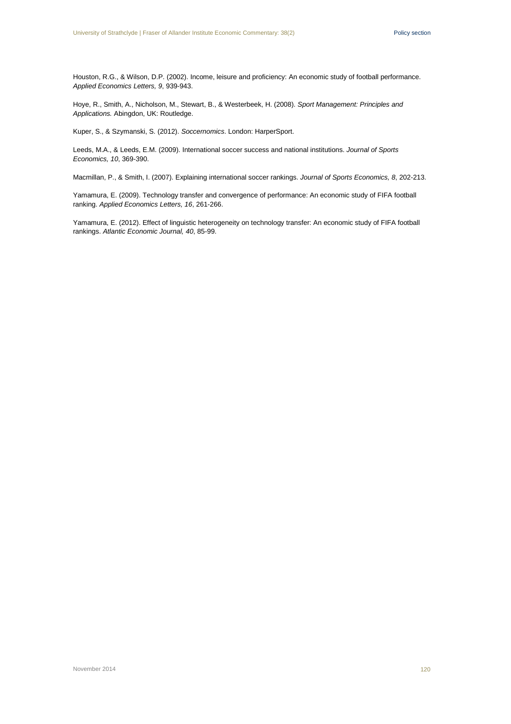Houston, R.G., & Wilson, D.P. (2002). Income, leisure and proficiency: An economic study of football performance. *Applied Economics Letters, 9*, 939-943.

Hoye, R., Smith, A., Nicholson, M., Stewart, B., & Westerbeek, H. (2008). *Sport Management: Principles and Applications.* Abingdon, UK: Routledge.

Kuper, S., & Szymanski, S. (2012). *Soccernomics*. London: HarperSport.

Leeds, M.A., & Leeds, E.M. (2009). International soccer success and national institutions. *Journal of Sports Economics, 10*, 369-390.

Macmillan, P., & Smith, I. (2007). Explaining international soccer rankings. *Journal of Sports Economics, 8*, 202-213.

Yamamura, E. (2009). Technology transfer and convergence of performance: An economic study of FIFA football ranking. *Applied Economics Letters, 16*, 261-266.

Yamamura, E. (2012). Effect of linguistic heterogeneity on technology transfer: An economic study of FIFA football rankings. *Atlantic Economic Journal, 40*, 85-99.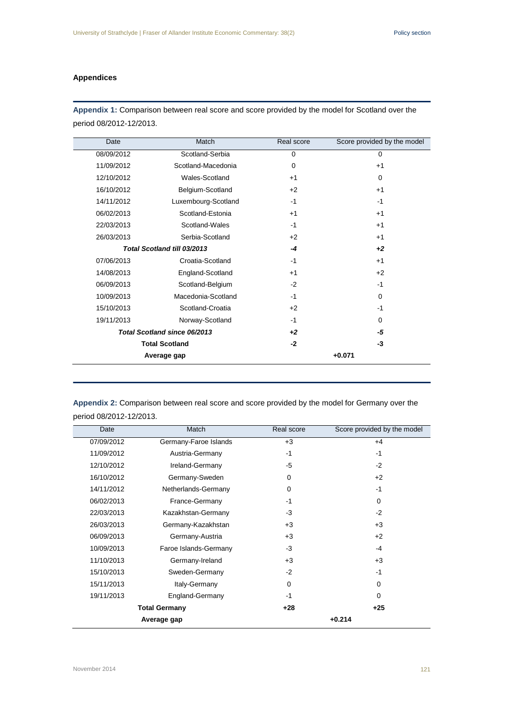# **Appendices**

**Appendix 1:** Comparison between real score and score provided by the model for Scotland over the period 08/2012-12/2013.

| Date       | Match                        | Real score | Score provided by the model |
|------------|------------------------------|------------|-----------------------------|
| 08/09/2012 | Scotland-Serbia              | 0          | $\mathbf 0$                 |
| 11/09/2012 | Scotland-Macedonia           | 0          | $+1$                        |
| 12/10/2012 | Wales-Scotland               | $+1$       | 0                           |
| 16/10/2012 | Belgium-Scotland             | $+2$       | $+1$                        |
| 14/11/2012 | Luxembourg-Scotland          | $-1$       | $-1$                        |
| 06/02/2013 | Scotland-Estonia             | $+1$       | $+1$                        |
| 22/03/2013 | Scotland-Wales               | $-1$       | $+1$                        |
| 26/03/2013 | Serbia-Scotland              | $+2$       | $+1$                        |
|            | Total Scotland till 03/2013  | $-4$       | $+2$                        |
| 07/06/2013 | Croatia-Scotland             | $-1$       | $+1$                        |
| 14/08/2013 | England-Scotland             | $+1$       | $+2$                        |
| 06/09/2013 | Scotland-Belgium             | $-2$       | $-1$                        |
| 10/09/2013 | Macedonia-Scotland           | $-1$       | $\Omega$                    |
| 15/10/2013 | Scotland-Croatia             | $+2$       | $-1$                        |
| 19/11/2013 | Norway-Scotland              | $-1$       | $\Omega$                    |
|            | Total Scotland since 06/2013 | $+2$       | -5                          |
|            | <b>Total Scotland</b>        | $-2$       | -3                          |
|            | Average gap                  |            | $+0.071$                    |
|            |                              |            |                             |

**Appendix 2:** Comparison between real score and score provided by the model for Germany over the period 08/2012-12/2013.

| Date                 | Match                 | Real score | Score provided by the model |
|----------------------|-----------------------|------------|-----------------------------|
| 07/09/2012           | Germany-Faroe Islands | $+3$       | $+4$                        |
| 11/09/2012           | Austria-Germany       | $-1$       | $-1$                        |
| 12/10/2012           | Ireland-Germany       | -5         | $-2$                        |
| 16/10/2012           | Germany-Sweden        | 0          | $+2$                        |
| 14/11/2012           | Netherlands-Germany   | $\Omega$   | $-1$                        |
| 06/02/2013           | France-Germany        | $-1$       | $\Omega$                    |
| 22/03/2013           | Kazakhstan-Germany    | $-3$       | $-2$                        |
| 26/03/2013           | Germany-Kazakhstan    | $+3$       | $+3$                        |
| 06/09/2013           | Germany-Austria       | $+3$       | $+2$                        |
| 10/09/2013           | Faroe Islands-Germany | $-3$       | $-4$                        |
| 11/10/2013           | Germany-Ireland       | $+3$       | $+3$                        |
| 15/10/2013           | Sweden-Germany        | $-2$       | $-1$                        |
| 15/11/2013           | Italy-Germany         | 0          | 0                           |
| 19/11/2013           | England-Germany       | $-1$       | 0                           |
| <b>Total Germany</b> |                       | $+28$      | $+25$                       |
| Average gap          |                       |            | $+0.214$                    |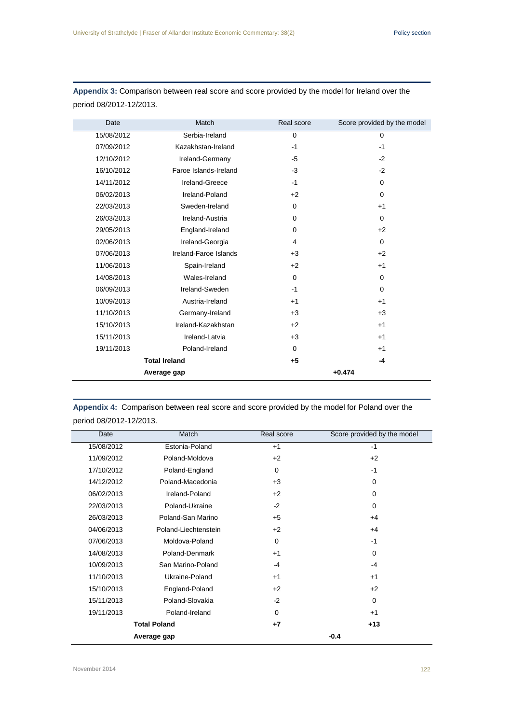| Date       | Match                 | Real score  | Score provided by the model |
|------------|-----------------------|-------------|-----------------------------|
|            |                       |             |                             |
| 15/08/2012 | Serbia-Ireland        | $\Omega$    | $\Omega$                    |
| 07/09/2012 | Kazakhstan-Ireland    | $-1$        | $-1$                        |
| 12/10/2012 | Ireland-Germany       | $-5$        | $-2$                        |
| 16/10/2012 | Faroe Islands-Ireland | $-3$        | $-2$                        |
| 14/11/2012 | Ireland-Greece        | $-1$        | $\Omega$                    |
| 06/02/2013 | Ireland-Poland        | $+2$        | $\Omega$                    |
| 22/03/2013 | Sweden-Ireland        | $\mathbf 0$ | $+1$                        |
| 26/03/2013 | Ireland-Austria       | $\Omega$    | $\Omega$                    |
| 29/05/2013 | England-Ireland       | $\Omega$    | $+2$                        |
| 02/06/2013 | Ireland-Georgia       | 4           | $\Omega$                    |
| 07/06/2013 | Ireland-Faroe Islands | $+3$        | $+2$                        |
| 11/06/2013 | Spain-Ireland         | $+2$        | $+1$                        |
| 14/08/2013 | Wales-Ireland         | $\mathbf 0$ | $\Omega$                    |
| 06/09/2013 | Ireland-Sweden        | $-1$        | $\Omega$                    |
| 10/09/2013 | Austria-Ireland       | $+1$        | $+1$                        |
| 11/10/2013 | Germany-Ireland       | $+3$        | $+3$                        |
| 15/10/2013 | Ireland-Kazakhstan    | $+2$        | $+1$                        |
| 15/11/2013 | Ireland-Latvia        | $+3$        | $+1$                        |
| 19/11/2013 | Poland-Ireland        | $\Omega$    | $+1$                        |
|            | <b>Total Ireland</b>  | $+5$        | -4                          |
|            | Average gap           |             | $+0.474$                    |

**Appendix 3:** Comparison between real score and score provided by the model for Ireland over the period 08/2012-12/2013.

**Appendix 4:** Comparison between real score and score provided by the model for Poland over the period 08/2012-12/2013.

| Date                | Match                | Real score | Score provided by the model |
|---------------------|----------------------|------------|-----------------------------|
| 15/08/2012          | Estonia-Poland       | $+1$       | $-1$                        |
| 11/09/2012          | Poland-Moldova       | $+2$       | $+2$                        |
| 17/10/2012          | Poland-England       | $\Omega$   | $-1$                        |
| 14/12/2012          | Poland-Macedonia     | $+3$       | 0                           |
| 06/02/2013          | Ireland-Poland       | $+2$       | 0                           |
| 22/03/2013          | Poland-Ukraine       | $-2$       | $\Omega$                    |
| 26/03/2013          | Poland-San Marino    | $+5$       | $+4$                        |
| 04/06/2013          | Poland-Liechtenstein | $+2$       | $+4$                        |
| 07/06/2013          | Moldova-Poland       | 0          | $-1$                        |
| 14/08/2013          | Poland-Denmark       | $+1$       | 0                           |
| 10/09/2013          | San Marino-Poland    | $-4$       | $-4$                        |
| 11/10/2013          | Ukraine-Poland       | $+1$       | $+1$                        |
| 15/10/2013          | England-Poland       | $+2$       | $+2$                        |
| 15/11/2013          | Poland-Slovakia      | $-2$       | 0                           |
| 19/11/2013          | Poland-Ireland       | $\Omega$   | $+1$                        |
| <b>Total Poland</b> |                      | $+7$       | $+13$                       |
| Average gap         |                      |            | $-0.4$                      |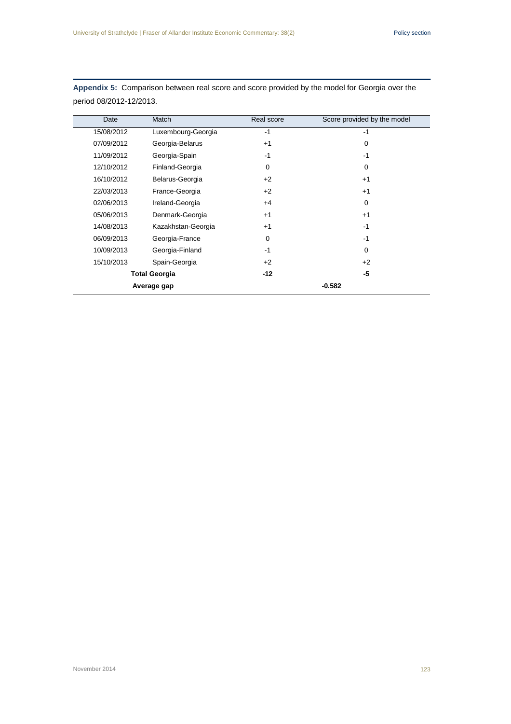| Date        | Match                | Real score | Score provided by the model |
|-------------|----------------------|------------|-----------------------------|
| 15/08/2012  | Luxembourg-Georgia   | $-1$       | $-1$                        |
| 07/09/2012  | Georgia-Belarus      | $+1$       | 0                           |
| 11/09/2012  | Georgia-Spain        | $-1$       | $-1$                        |
| 12/10/2012  | Finland-Georgia      | $\Omega$   | $\Omega$                    |
| 16/10/2012  | Belarus-Georgia      | $+2$       | $+1$                        |
| 22/03/2013  | France-Georgia       | $+2$       | $+1$                        |
| 02/06/2013  | Ireland-Georgia      | $+4$       | 0                           |
| 05/06/2013  | Denmark-Georgia      | $+1$       | $+1$                        |
| 14/08/2013  | Kazakhstan-Georgia   | $+1$       | $-1$                        |
| 06/09/2013  | Georgia-France       | 0          | $-1$                        |
| 10/09/2013  | Georgia-Finland      | $-1$       | 0                           |
| 15/10/2013  | Spain-Georgia        | $+2$       | $+2$                        |
|             | <b>Total Georgia</b> |            | -5                          |
| Average gap |                      |            | $-0.582$                    |

**Appendix 5:** Comparison between real score and score provided by the model for Georgia over the period 08/2012-12/2013.